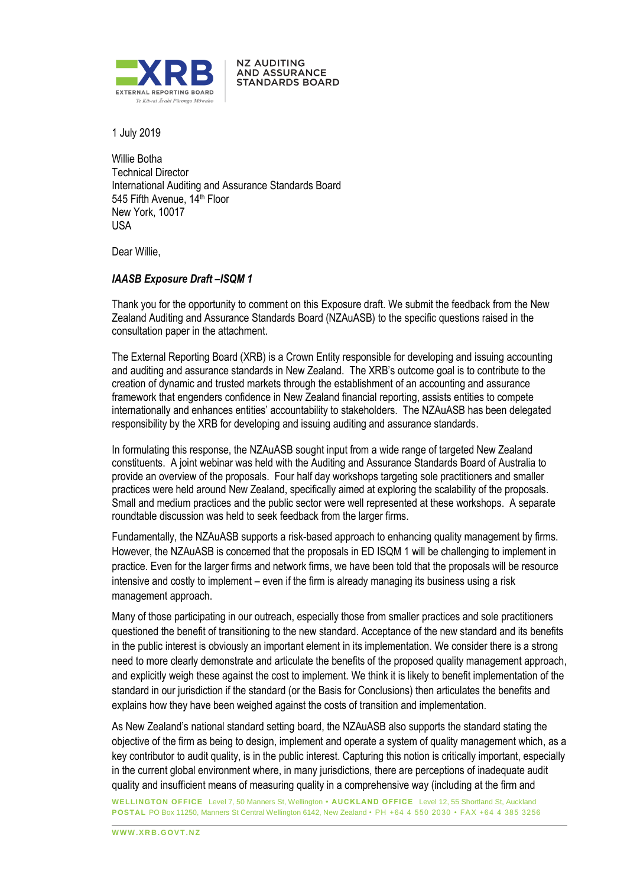

**NZ AUDITING AND ASSURANCE STANDARDS BOARD** 

1 July 2019

Willie Botha Technical Director International Auditing and Assurance Standards Board 545 Fifth Avenue, 14<sup>th</sup> Floor New York, 10017 USA

Dear Willie,

# *IAASB Exposure Draft –ISQM 1*

Thank you for the opportunity to comment on this Exposure draft. We submit the feedback from the New Zealand Auditing and Assurance Standards Board (NZAuASB) to the specific questions raised in the consultation paper in the attachment.

The External Reporting Board (XRB) is a Crown Entity responsible for developing and issuing accounting and auditing and assurance standards in New Zealand. The XRB's outcome goal is to contribute to the creation of dynamic and trusted markets through the establishment of an accounting and assurance framework that engenders confidence in New Zealand financial reporting, assists entities to compete internationally and enhances entities' accountability to stakeholders. The NZAuASB has been delegated responsibility by the XRB for developing and issuing auditing and assurance standards.

In formulating this response, the NZAuASB sought input from a wide range of targeted New Zealand constituents. A joint webinar was held with the Auditing and Assurance Standards Board of Australia to provide an overview of the proposals. Four half day workshops targeting sole practitioners and smaller practices were held around New Zealand, specifically aimed at exploring the scalability of the proposals. Small and medium practices and the public sector were well represented at these workshops. A separate roundtable discussion was held to seek feedback from the larger firms.

Fundamentally, the NZAuASB supports a risk-based approach to enhancing quality management by firms. However, the NZAuASB is concerned that the proposals in ED ISQM 1 will be challenging to implement in practice. Even for the larger firms and network firms, we have been told that the proposals will be resource intensive and costly to implement – even if the firm is already managing its business using a risk management approach.

Many of those participating in our outreach, especially those from smaller practices and sole practitioners questioned the benefit of transitioning to the new standard. Acceptance of the new standard and its benefits in the public interest is obviously an important element in its implementation. We consider there is a strong need to more clearly demonstrate and articulate the benefits of the proposed quality management approach, and explicitly weigh these against the cost to implement. We think it is likely to benefit implementation of the standard in our jurisdiction if the standard (or the Basis for Conclusions) then articulates the benefits and explains how they have been weighed against the costs of transition and implementation.

As New Zealand's national standard setting board, the NZAuASB also supports the standard stating the objective of the firm as being to design, implement and operate a system of quality management which, as a key contributor to audit quality, is in the public interest. Capturing this notion is critically important, especially in the current global environment where, in many jurisdictions, there are perceptions of inadequate audit quality and insufficient means of measuring quality in a comprehensive way (including at the firm and

**WELLINGTON OFFICE** Level 7, 50 Manners St, Wellington **• AUCKLAND OFFICE** Level 12, 55 Shortland St, Auckland **POSTAL** PO Box 11250, Manners St Central Wellington 6142, New Zealand • PH +64 4 550 2030 • FAX +64 4 385 3256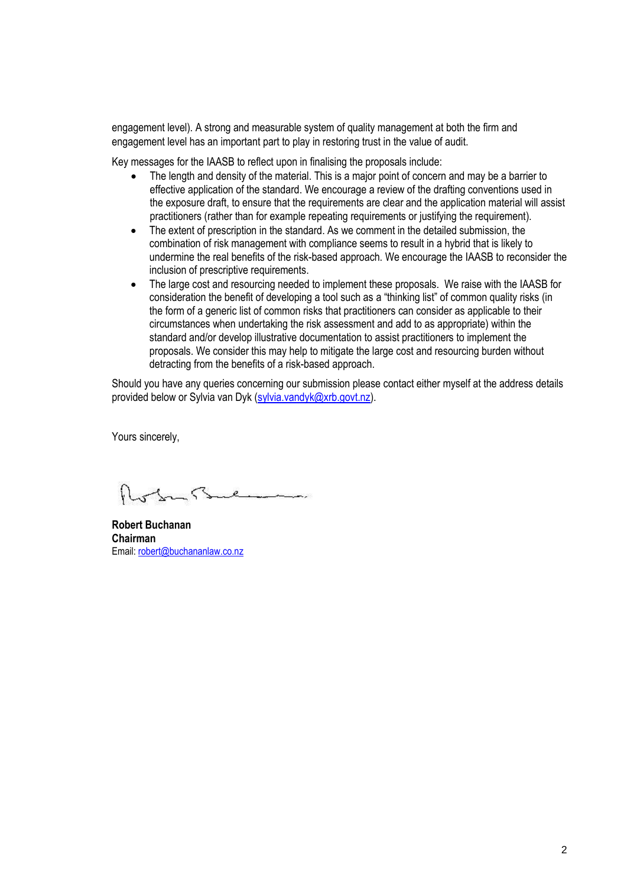engagement level). A strong and measurable system of quality management at both the firm and engagement level has an important part to play in restoring trust in the value of audit.

Key messages for the IAASB to reflect upon in finalising the proposals include:

- The length and density of the material. This is a major point of concern and may be a barrier to effective application of the standard. We encourage a review of the drafting conventions used in the exposure draft, to ensure that the requirements are clear and the application material will assist practitioners (rather than for example repeating requirements or justifying the requirement).
- The extent of prescription in the standard. As we comment in the detailed submission, the combination of risk management with compliance seems to result in a hybrid that is likely to undermine the real benefits of the risk-based approach. We encourage the IAASB to reconsider the inclusion of prescriptive requirements.
- The large cost and resourcing needed to implement these proposals. We raise with the IAASB for consideration the benefit of developing a tool such as a "thinking list" of common quality risks (in the form of a generic list of common risks that practitioners can consider as applicable to their circumstances when undertaking the risk assessment and add to as appropriate) within the standard and/or develop illustrative documentation to assist practitioners to implement the proposals. We consider this may help to mitigate the large cost and resourcing burden without detracting from the benefits of a risk-based approach.

Should you have any queries concerning our submission please contact either myself at the address details provided below or Sylvia van Dyk (sylvia.vandyk@xrb.govt.nz).

Yours sincerely,

 $\leq$  $e$  and  $e$ 

**Robert Buchanan Chairman** Email: robert@buchananlaw.co.nz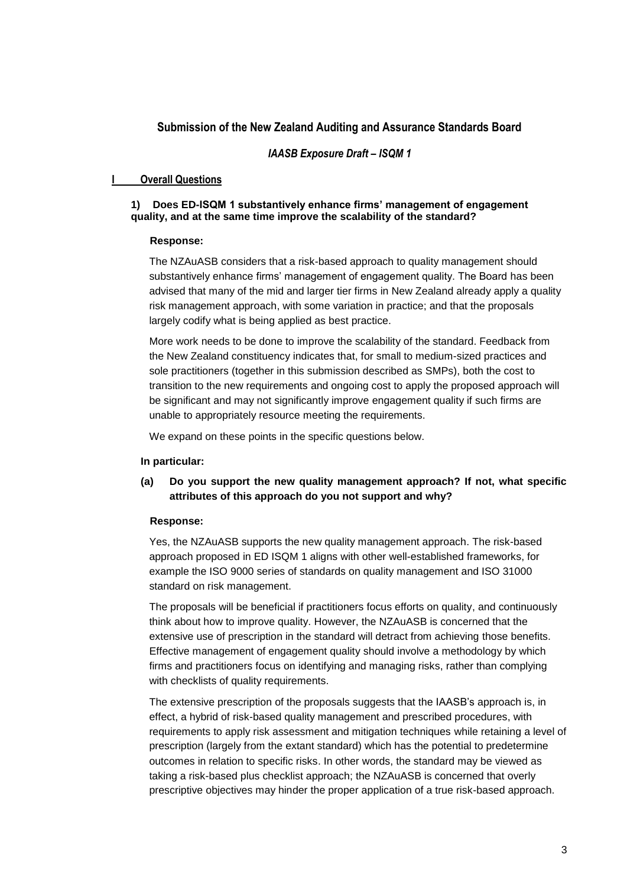# **Submission of the New Zealand Auditing and Assurance Standards Board**

## *IAASB Exposure Draft – ISQM 1*

# **I Overall Questions**

## **1) Does ED-ISQM 1 substantively enhance firms' management of engagement quality, and at the same time improve the scalability of the standard?**

### **Response:**

The NZAuASB considers that a risk-based approach to quality management should substantively enhance firms' management of engagement quality. The Board has been advised that many of the mid and larger tier firms in New Zealand already apply a quality risk management approach, with some variation in practice; and that the proposals largely codify what is being applied as best practice.

More work needs to be done to improve the scalability of the standard. Feedback from the New Zealand constituency indicates that, for small to medium-sized practices and sole practitioners (together in this submission described as SMPs), both the cost to transition to the new requirements and ongoing cost to apply the proposed approach will be significant and may not significantly improve engagement quality if such firms are unable to appropriately resource meeting the requirements.

We expand on these points in the specific questions below.

#### **In particular:**

**(a) Do you support the new quality management approach? If not, what specific attributes of this approach do you not support and why?**

#### **Response:**

Yes, the NZAuASB supports the new quality management approach. The risk-based approach proposed in ED ISQM 1 aligns with other well-established frameworks, for example the ISO 9000 series of standards on quality management and ISO 31000 standard on risk management.

The proposals will be beneficial if practitioners focus efforts on quality, and continuously think about how to improve quality. However, the NZAuASB is concerned that the extensive use of prescription in the standard will detract from achieving those benefits. Effective management of engagement quality should involve a methodology by which firms and practitioners focus on identifying and managing risks, rather than complying with checklists of quality requirements.

The extensive prescription of the proposals suggests that the IAASB's approach is, in effect, a hybrid of risk-based quality management and prescribed procedures, with requirements to apply risk assessment and mitigation techniques while retaining a level of prescription (largely from the extant standard) which has the potential to predetermine outcomes in relation to specific risks. In other words, the standard may be viewed as taking a risk-based plus checklist approach; the NZAuASB is concerned that overly prescriptive objectives may hinder the proper application of a true risk-based approach.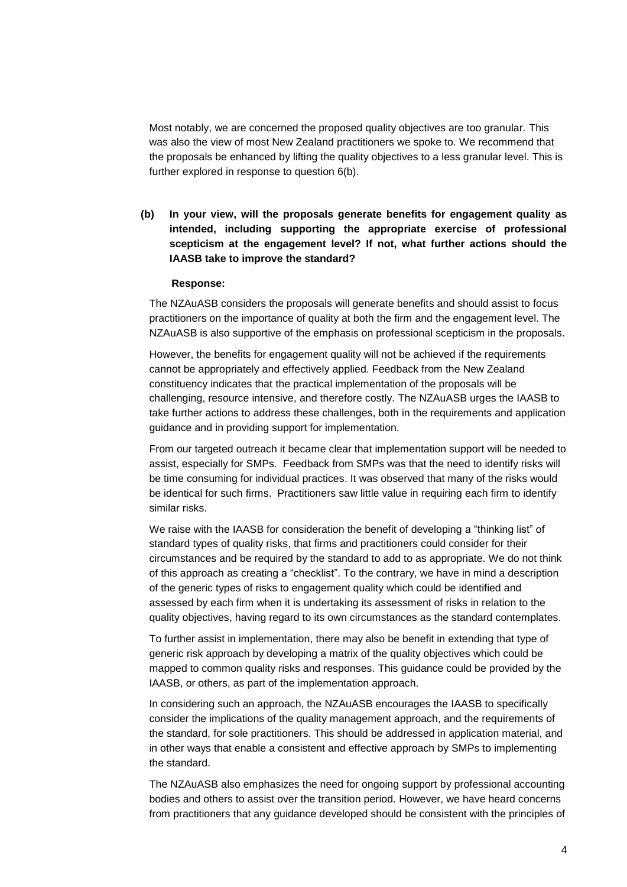Most notably, we are concerned the proposed quality objectives are too granular. This was also the view of most New Zealand practitioners we spoke to. We recommend that the proposals be enhanced by lifting the quality objectives to a less granular level. This is further explored in response to question 6(b).

**(b) In your view, will the proposals generate benefits for engagement quality as intended, including supporting the appropriate exercise of professional scepticism at the engagement level? If not, what further actions should the IAASB take to improve the standard?**

#### **Response:**

The NZAuASB considers the proposals will generate benefits and should assist to focus practitioners on the importance of quality at both the firm and the engagement level. The NZAuASB is also supportive of the emphasis on professional scepticism in the proposals.

However, the benefits for engagement quality will not be achieved if the requirements cannot be appropriately and effectively applied. Feedback from the New Zealand constituency indicates that the practical implementation of the proposals will be challenging, resource intensive, and therefore costly. The NZAuASB urges the IAASB to take further actions to address these challenges, both in the requirements and application guidance and in providing support for implementation.

From our targeted outreach it became clear that implementation support will be needed to assist, especially for SMPs. Feedback from SMPs was that the need to identify risks will be time consuming for individual practices. It was observed that many of the risks would be identical for such firms. Practitioners saw little value in requiring each firm to identify similar risks.

We raise with the IAASB for consideration the benefit of developing a "thinking list" of standard types of quality risks, that firms and practitioners could consider for their circumstances and be required by the standard to add to as appropriate. We do not think of this approach as creating a "checklist". To the contrary, we have in mind a description of the generic types of risks to engagement quality which could be identified and assessed by each firm when it is undertaking its assessment of risks in relation to the quality objectives, having regard to its own circumstances as the standard contemplates.

To further assist in implementation, there may also be benefit in extending that type of generic risk approach by developing a matrix of the quality objectives which could be mapped to common quality risks and responses. This guidance could be provided by the IAASB, or others, as part of the implementation approach.

In considering such an approach, the NZAuASB encourages the IAASB to specifically consider the implications of the quality management approach, and the requirements of the standard, for sole practitioners. This should be addressed in application material, and in other ways that enable a consistent and effective approach by SMPs to implementing the standard.

The NZAuASB also emphasizes the need for ongoing support by professional accounting bodies and others to assist over the transition period. However, we have heard concerns from practitioners that any guidance developed should be consistent with the principles of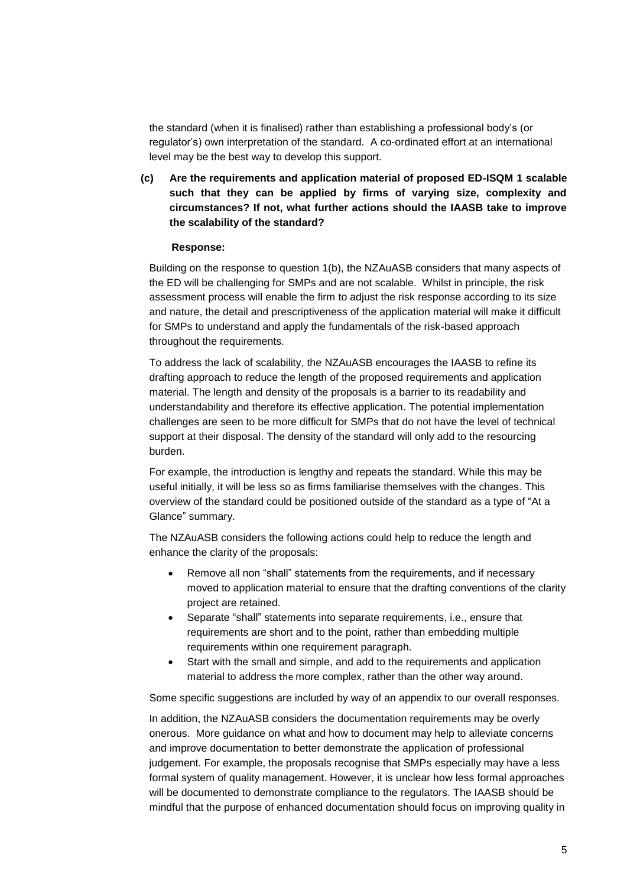the standard (when it is finalised) rather than establishing a professional body's (or regulator's) own interpretation of the standard. A co-ordinated effort at an international level may be the best way to develop this support.

**(c) Are the requirements and application material of proposed ED-ISQM 1 scalable such that they can be applied by firms of varying size, complexity and circumstances? If not, what further actions should the IAASB take to improve the scalability of the standard?**

#### **Response:**

Building on the response to question 1(b), the NZAuASB considers that many aspects of the ED will be challenging for SMPs and are not scalable. Whilst in principle, the risk assessment process will enable the firm to adjust the risk response according to its size and nature, the detail and prescriptiveness of the application material will make it difficult for SMPs to understand and apply the fundamentals of the risk-based approach throughout the requirements.

To address the lack of scalability, the NZAuASB encourages the IAASB to refine its drafting approach to reduce the length of the proposed requirements and application material. The length and density of the proposals is a barrier to its readability and understandability and therefore its effective application. The potential implementation challenges are seen to be more difficult for SMPs that do not have the level of technical support at their disposal. The density of the standard will only add to the resourcing burden.

For example, the introduction is lengthy and repeats the standard. While this may be useful initially, it will be less so as firms familiarise themselves with the changes. This overview of the standard could be positioned outside of the standard as a type of "At a Glance" summary.

The NZAuASB considers the following actions could help to reduce the length and enhance the clarity of the proposals:

- Remove all non "shall" statements from the requirements, and if necessary moved to application material to ensure that the drafting conventions of the clarity project are retained.
- Separate "shall" statements into separate requirements, i.e., ensure that requirements are short and to the point, rather than embedding multiple requirements within one requirement paragraph.
- Start with the small and simple, and add to the requirements and application material to address the more complex, rather than the other way around.

Some specific suggestions are included by way of an appendix to our overall responses.

In addition, the NZAuASB considers the documentation requirements may be overly onerous. More guidance on what and how to document may help to alleviate concerns and improve documentation to better demonstrate the application of professional judgement. For example, the proposals recognise that SMPs especially may have a less formal system of quality management. However, it is unclear how less formal approaches will be documented to demonstrate compliance to the regulators. The IAASB should be mindful that the purpose of enhanced documentation should focus on improving quality in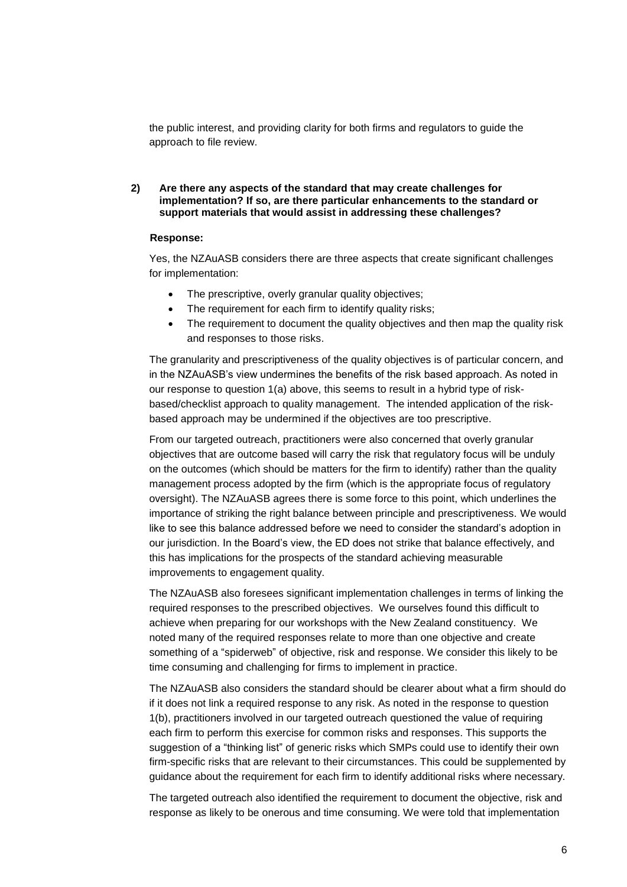the public interest, and providing clarity for both firms and regulators to guide the approach to file review.

## **2) Are there any aspects of the standard that may create challenges for implementation? If so, are there particular enhancements to the standard or support materials that would assist in addressing these challenges?**

### **Response:**

Yes, the NZAuASB considers there are three aspects that create significant challenges for implementation:

- The prescriptive, overly granular quality objectives;
- The requirement for each firm to identify quality risks;
- The requirement to document the quality objectives and then map the quality risk and responses to those risks.

The granularity and prescriptiveness of the quality objectives is of particular concern, and in the NZAuASB's view undermines the benefits of the risk based approach. As noted in our response to question 1(a) above, this seems to result in a hybrid type of riskbased/checklist approach to quality management. The intended application of the riskbased approach may be undermined if the objectives are too prescriptive.

From our targeted outreach, practitioners were also concerned that overly granular objectives that are outcome based will carry the risk that regulatory focus will be unduly on the outcomes (which should be matters for the firm to identify) rather than the quality management process adopted by the firm (which is the appropriate focus of regulatory oversight). The NZAuASB agrees there is some force to this point, which underlines the importance of striking the right balance between principle and prescriptiveness. We would like to see this balance addressed before we need to consider the standard's adoption in our jurisdiction. In the Board's view, the ED does not strike that balance effectively, and this has implications for the prospects of the standard achieving measurable improvements to engagement quality.

The NZAuASB also foresees significant implementation challenges in terms of linking the required responses to the prescribed objectives. We ourselves found this difficult to achieve when preparing for our workshops with the New Zealand constituency. We noted many of the required responses relate to more than one objective and create something of a "spiderweb" of objective, risk and response. We consider this likely to be time consuming and challenging for firms to implement in practice.

The NZAuASB also considers the standard should be clearer about what a firm should do if it does not link a required response to any risk. As noted in the response to question 1(b), practitioners involved in our targeted outreach questioned the value of requiring each firm to perform this exercise for common risks and responses. This supports the suggestion of a "thinking list" of generic risks which SMPs could use to identify their own firm-specific risks that are relevant to their circumstances. This could be supplemented by guidance about the requirement for each firm to identify additional risks where necessary.

The targeted outreach also identified the requirement to document the objective, risk and response as likely to be onerous and time consuming. We were told that implementation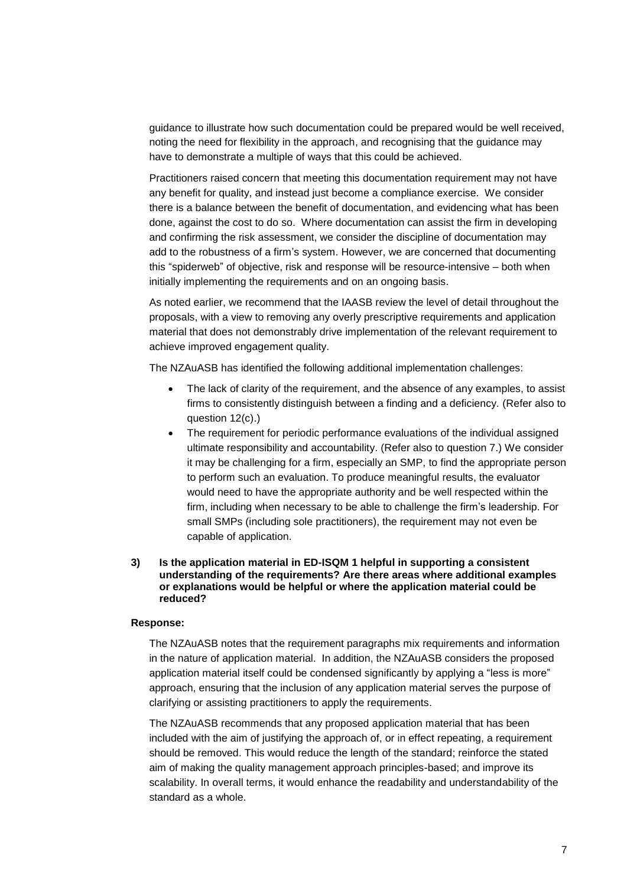guidance to illustrate how such documentation could be prepared would be well received, noting the need for flexibility in the approach, and recognising that the guidance may have to demonstrate a multiple of ways that this could be achieved.

Practitioners raised concern that meeting this documentation requirement may not have any benefit for quality, and instead just become a compliance exercise. We consider there is a balance between the benefit of documentation, and evidencing what has been done, against the cost to do so. Where documentation can assist the firm in developing and confirming the risk assessment, we consider the discipline of documentation may add to the robustness of a firm's system. However, we are concerned that documenting this "spiderweb" of objective, risk and response will be resource-intensive – both when initially implementing the requirements and on an ongoing basis.

As noted earlier, we recommend that the IAASB review the level of detail throughout the proposals, with a view to removing any overly prescriptive requirements and application material that does not demonstrably drive implementation of the relevant requirement to achieve improved engagement quality.

The NZAuASB has identified the following additional implementation challenges:

- The lack of clarity of the requirement, and the absence of any examples, to assist firms to consistently distinguish between a finding and a deficiency. (Refer also to question 12(c).)
- The requirement for periodic performance evaluations of the individual assigned ultimate responsibility and accountability. (Refer also to question 7.) We consider it may be challenging for a firm, especially an SMP, to find the appropriate person to perform such an evaluation. To produce meaningful results, the evaluator would need to have the appropriate authority and be well respected within the firm, including when necessary to be able to challenge the firm's leadership. For small SMPs (including sole practitioners), the requirement may not even be capable of application.

## **3) Is the application material in ED-ISQM 1 helpful in supporting a consistent understanding of the requirements? Are there areas where additional examples or explanations would be helpful or where the application material could be reduced?**

#### **Response:**

The NZAuASB notes that the requirement paragraphs mix requirements and information in the nature of application material. In addition, the NZAuASB considers the proposed application material itself could be condensed significantly by applying a "less is more" approach, ensuring that the inclusion of any application material serves the purpose of clarifying or assisting practitioners to apply the requirements.

The NZAuASB recommends that any proposed application material that has been included with the aim of justifying the approach of, or in effect repeating, a requirement should be removed. This would reduce the length of the standard; reinforce the stated aim of making the quality management approach principles-based; and improve its scalability. In overall terms, it would enhance the readability and understandability of the standard as a whole.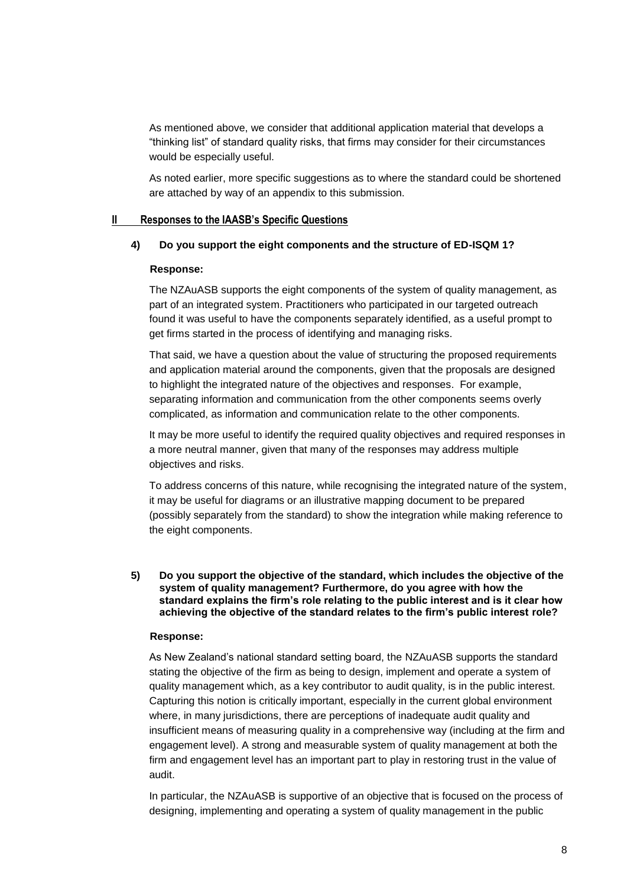As mentioned above, we consider that additional application material that develops a "thinking list" of standard quality risks, that firms may consider for their circumstances would be especially useful.

As noted earlier, more specific suggestions as to where the standard could be shortened are attached by way of an appendix to this submission.

### **II Responses to the IAASB's Specific Questions**

### **4) Do you support the eight components and the structure of ED-ISQM 1?**

### **Response:**

The NZAuASB supports the eight components of the system of quality management, as part of an integrated system. Practitioners who participated in our targeted outreach found it was useful to have the components separately identified, as a useful prompt to get firms started in the process of identifying and managing risks.

That said, we have a question about the value of structuring the proposed requirements and application material around the components, given that the proposals are designed to highlight the integrated nature of the objectives and responses. For example, separating information and communication from the other components seems overly complicated, as information and communication relate to the other components.

It may be more useful to identify the required quality objectives and required responses in a more neutral manner, given that many of the responses may address multiple objectives and risks.

To address concerns of this nature, while recognising the integrated nature of the system, it may be useful for diagrams or an illustrative mapping document to be prepared (possibly separately from the standard) to show the integration while making reference to the eight components.

### **5) Do you support the objective of the standard, which includes the objective of the system of quality management? Furthermore, do you agree with how the standard explains the firm's role relating to the public interest and is it clear how achieving the objective of the standard relates to the firm's public interest role?**

### **Response:**

As New Zealand's national standard setting board, the NZAuASB supports the standard stating the objective of the firm as being to design, implement and operate a system of quality management which, as a key contributor to audit quality, is in the public interest. Capturing this notion is critically important, especially in the current global environment where, in many jurisdictions, there are perceptions of inadequate audit quality and insufficient means of measuring quality in a comprehensive way (including at the firm and engagement level). A strong and measurable system of quality management at both the firm and engagement level has an important part to play in restoring trust in the value of audit.

In particular, the NZAuASB is supportive of an objective that is focused on the process of designing, implementing and operating a system of quality management in the public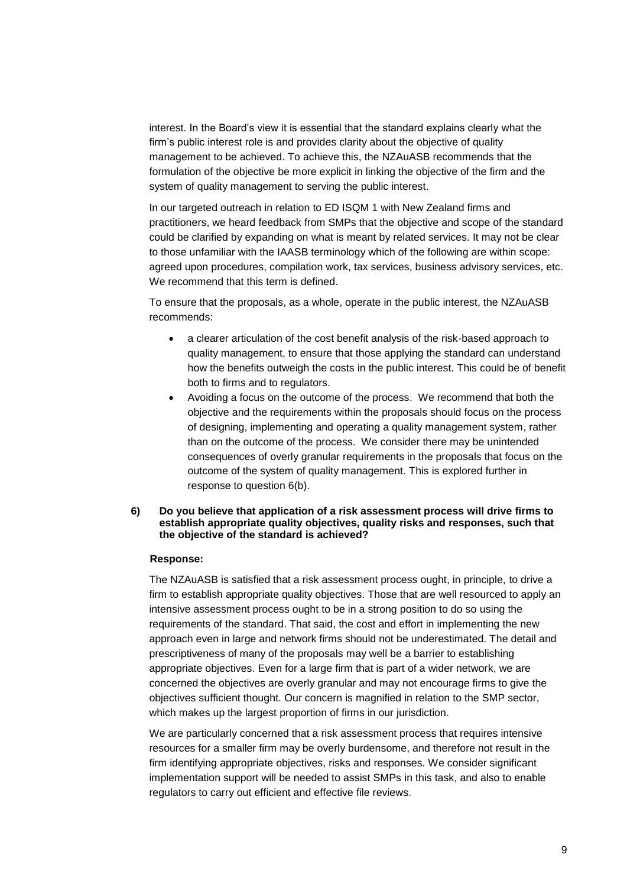interest. In the Board's view it is essential that the standard explains clearly what the firm's public interest role is and provides clarity about the objective of quality management to be achieved. To achieve this, the NZAuASB recommends that the formulation of the objective be more explicit in linking the objective of the firm and the system of quality management to serving the public interest.

In our targeted outreach in relation to ED ISQM 1 with New Zealand firms and practitioners, we heard feedback from SMPs that the objective and scope of the standard could be clarified by expanding on what is meant by related services. It may not be clear to those unfamiliar with the IAASB terminology which of the following are within scope: agreed upon procedures, compilation work, tax services, business advisory services, etc. We recommend that this term is defined.

To ensure that the proposals, as a whole, operate in the public interest, the NZAuASB recommends:

- a clearer articulation of the cost benefit analysis of the risk-based approach to quality management, to ensure that those applying the standard can understand how the benefits outweigh the costs in the public interest. This could be of benefit both to firms and to regulators.
- Avoiding a focus on the outcome of the process. We recommend that both the objective and the requirements within the proposals should focus on the process of designing, implementing and operating a quality management system, rather than on the outcome of the process. We consider there may be unintended consequences of overly granular requirements in the proposals that focus on the outcome of the system of quality management. This is explored further in response to question 6(b).

### **6) Do you believe that application of a risk assessment process will drive firms to establish appropriate quality objectives, quality risks and responses, such that the objective of the standard is achieved?**

### **Response:**

The NZAuASB is satisfied that a risk assessment process ought, in principle, to drive a firm to establish appropriate quality objectives. Those that are well resourced to apply an intensive assessment process ought to be in a strong position to do so using the requirements of the standard. That said, the cost and effort in implementing the new approach even in large and network firms should not be underestimated. The detail and prescriptiveness of many of the proposals may well be a barrier to establishing appropriate objectives. Even for a large firm that is part of a wider network, we are concerned the objectives are overly granular and may not encourage firms to give the objectives sufficient thought. Our concern is magnified in relation to the SMP sector, which makes up the largest proportion of firms in our jurisdiction.

We are particularly concerned that a risk assessment process that requires intensive resources for a smaller firm may be overly burdensome, and therefore not result in the firm identifying appropriate objectives, risks and responses. We consider significant implementation support will be needed to assist SMPs in this task, and also to enable regulators to carry out efficient and effective file reviews.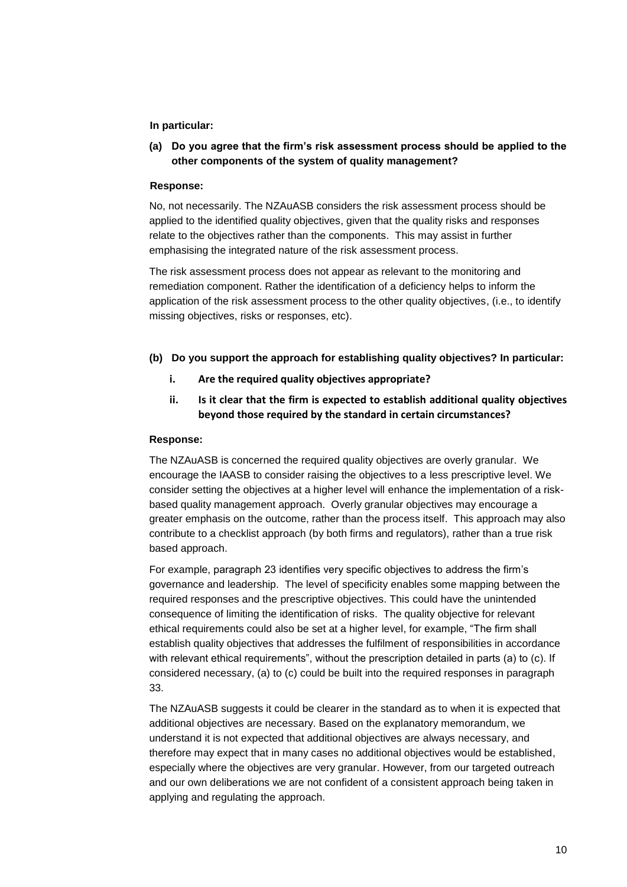## **In particular:**

**(a) Do you agree that the firm's risk assessment process should be applied to the other components of the system of quality management?**

### **Response:**

No, not necessarily. The NZAuASB considers the risk assessment process should be applied to the identified quality objectives, given that the quality risks and responses relate to the objectives rather than the components. This may assist in further emphasising the integrated nature of the risk assessment process.

The risk assessment process does not appear as relevant to the monitoring and remediation component. Rather the identification of a deficiency helps to inform the application of the risk assessment process to the other quality objectives, (i.e., to identify missing objectives, risks or responses, etc).

### **(b) Do you support the approach for establishing quality objectives? In particular:**

- **i. Are the required quality objectives appropriate?**
- **ii. Is it clear that the firm is expected to establish additional quality objectives beyond those required by the standard in certain circumstances?**

### **Response:**

The NZAuASB is concerned the required quality objectives are overly granular. We encourage the IAASB to consider raising the objectives to a less prescriptive level. We consider setting the objectives at a higher level will enhance the implementation of a riskbased quality management approach. Overly granular objectives may encourage a greater emphasis on the outcome, rather than the process itself. This approach may also contribute to a checklist approach (by both firms and regulators), rather than a true risk based approach.

For example, paragraph 23 identifies very specific objectives to address the firm's governance and leadership. The level of specificity enables some mapping between the required responses and the prescriptive objectives. This could have the unintended consequence of limiting the identification of risks. The quality objective for relevant ethical requirements could also be set at a higher level, for example, "The firm shall establish quality objectives that addresses the fulfilment of responsibilities in accordance with relevant ethical requirements", without the prescription detailed in parts (a) to (c). If considered necessary, (a) to (c) could be built into the required responses in paragraph 33.

The NZAuASB suggests it could be clearer in the standard as to when it is expected that additional objectives are necessary. Based on the explanatory memorandum, we understand it is not expected that additional objectives are always necessary, and therefore may expect that in many cases no additional objectives would be established, especially where the objectives are very granular. However, from our targeted outreach and our own deliberations we are not confident of a consistent approach being taken in applying and regulating the approach.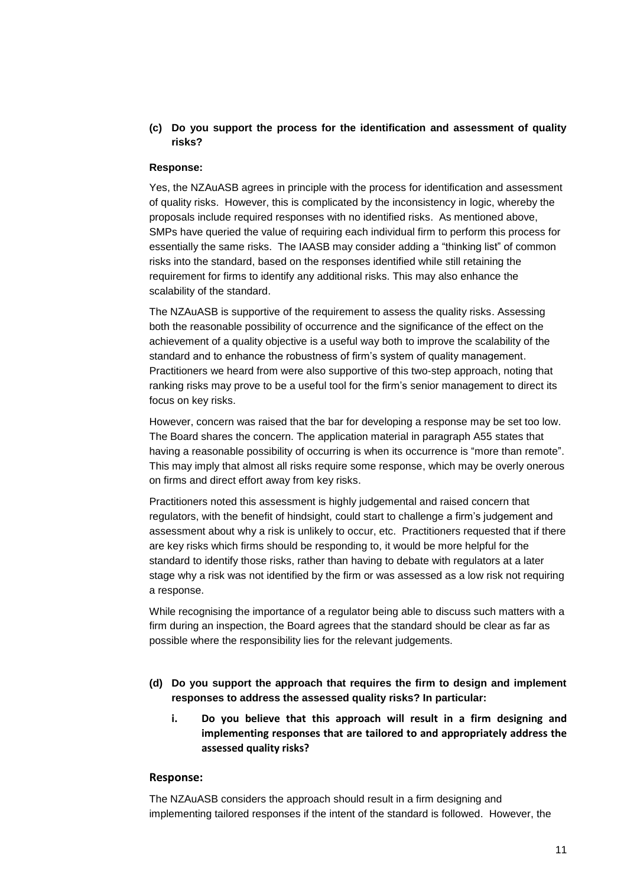# **(c) Do you support the process for the identification and assessment of quality risks?**

## **Response:**

Yes, the NZAuASB agrees in principle with the process for identification and assessment of quality risks. However, this is complicated by the inconsistency in logic, whereby the proposals include required responses with no identified risks. As mentioned above, SMPs have queried the value of requiring each individual firm to perform this process for essentially the same risks. The IAASB may consider adding a "thinking list" of common risks into the standard, based on the responses identified while still retaining the requirement for firms to identify any additional risks. This may also enhance the scalability of the standard.

The NZAuASB is supportive of the requirement to assess the quality risks. Assessing both the reasonable possibility of occurrence and the significance of the effect on the achievement of a quality objective is a useful way both to improve the scalability of the standard and to enhance the robustness of firm's system of quality management. Practitioners we heard from were also supportive of this two-step approach, noting that ranking risks may prove to be a useful tool for the firm's senior management to direct its focus on key risks.

However, concern was raised that the bar for developing a response may be set too low. The Board shares the concern. The application material in paragraph A55 states that having a reasonable possibility of occurring is when its occurrence is "more than remote". This may imply that almost all risks require some response, which may be overly onerous on firms and direct effort away from key risks.

Practitioners noted this assessment is highly judgemental and raised concern that regulators, with the benefit of hindsight, could start to challenge a firm's judgement and assessment about why a risk is unlikely to occur, etc. Practitioners requested that if there are key risks which firms should be responding to, it would be more helpful for the standard to identify those risks, rather than having to debate with regulators at a later stage why a risk was not identified by the firm or was assessed as a low risk not requiring a response.

While recognising the importance of a regulator being able to discuss such matters with a firm during an inspection, the Board agrees that the standard should be clear as far as possible where the responsibility lies for the relevant judgements.

- **(d) Do you support the approach that requires the firm to design and implement responses to address the assessed quality risks? In particular:**
	- **i. Do you believe that this approach will result in a firm designing and implementing responses that are tailored to and appropriately address the assessed quality risks?**

### **Response:**

The NZAuASB considers the approach should result in a firm designing and implementing tailored responses if the intent of the standard is followed. However, the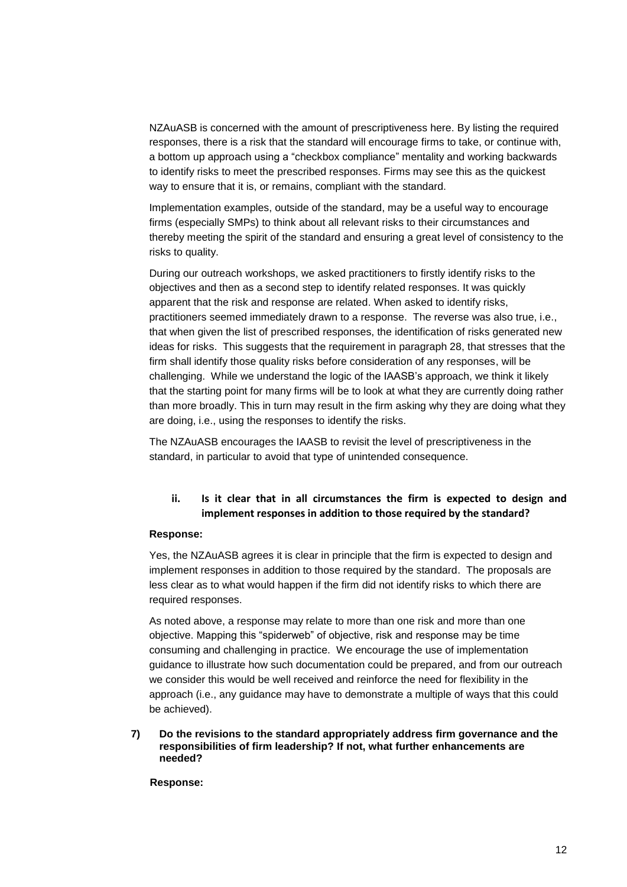NZAuASB is concerned with the amount of prescriptiveness here. By listing the required responses, there is a risk that the standard will encourage firms to take, or continue with, a bottom up approach using a "checkbox compliance" mentality and working backwards to identify risks to meet the prescribed responses. Firms may see this as the quickest way to ensure that it is, or remains, compliant with the standard.

Implementation examples, outside of the standard, may be a useful way to encourage firms (especially SMPs) to think about all relevant risks to their circumstances and thereby meeting the spirit of the standard and ensuring a great level of consistency to the risks to quality.

During our outreach workshops, we asked practitioners to firstly identify risks to the objectives and then as a second step to identify related responses. It was quickly apparent that the risk and response are related. When asked to identify risks, practitioners seemed immediately drawn to a response. The reverse was also true, i.e., that when given the list of prescribed responses, the identification of risks generated new ideas for risks. This suggests that the requirement in paragraph 28, that stresses that the firm shall identify those quality risks before consideration of any responses, will be challenging. While we understand the logic of the IAASB's approach, we think it likely that the starting point for many firms will be to look at what they are currently doing rather than more broadly. This in turn may result in the firm asking why they are doing what they are doing, i.e., using the responses to identify the risks.

The NZAuASB encourages the IAASB to revisit the level of prescriptiveness in the standard, in particular to avoid that type of unintended consequence.

# **ii. Is it clear that in all circumstances the firm is expected to design and implement responses in addition to those required by the standard?**

### **Response:**

Yes, the NZAuASB agrees it is clear in principle that the firm is expected to design and implement responses in addition to those required by the standard. The proposals are less clear as to what would happen if the firm did not identify risks to which there are required responses.

As noted above, a response may relate to more than one risk and more than one objective. Mapping this "spiderweb" of objective, risk and response may be time consuming and challenging in practice. We encourage the use of implementation guidance to illustrate how such documentation could be prepared, and from our outreach we consider this would be well received and reinforce the need for flexibility in the approach (i.e., any guidance may have to demonstrate a multiple of ways that this could be achieved).

**7) Do the revisions to the standard appropriately address firm governance and the responsibilities of firm leadership? If not, what further enhancements are needed?**

**Response:**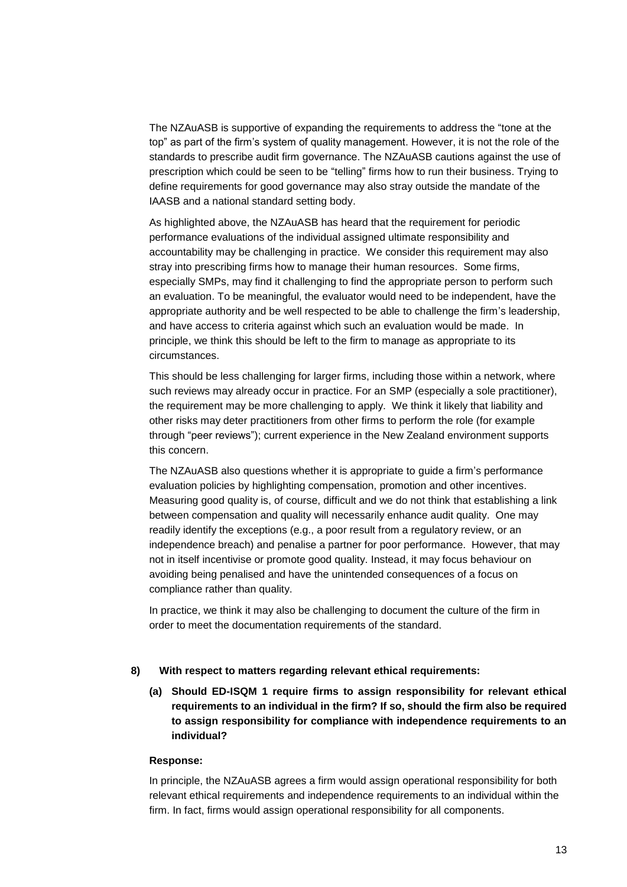The NZAuASB is supportive of expanding the requirements to address the "tone at the top" as part of the firm's system of quality management. However, it is not the role of the standards to prescribe audit firm governance. The NZAuASB cautions against the use of prescription which could be seen to be "telling" firms how to run their business. Trying to define requirements for good governance may also stray outside the mandate of the IAASB and a national standard setting body.

As highlighted above, the NZAuASB has heard that the requirement for periodic performance evaluations of the individual assigned ultimate responsibility and accountability may be challenging in practice. We consider this requirement may also stray into prescribing firms how to manage their human resources. Some firms, especially SMPs, may find it challenging to find the appropriate person to perform such an evaluation. To be meaningful, the evaluator would need to be independent, have the appropriate authority and be well respected to be able to challenge the firm's leadership, and have access to criteria against which such an evaluation would be made. In principle, we think this should be left to the firm to manage as appropriate to its circumstances.

This should be less challenging for larger firms, including those within a network, where such reviews may already occur in practice. For an SMP (especially a sole practitioner), the requirement may be more challenging to apply. We think it likely that liability and other risks may deter practitioners from other firms to perform the role (for example through "peer reviews"); current experience in the New Zealand environment supports this concern.

The NZAuASB also questions whether it is appropriate to guide a firm's performance evaluation policies by highlighting compensation, promotion and other incentives. Measuring good quality is, of course, difficult and we do not think that establishing a link between compensation and quality will necessarily enhance audit quality. One may readily identify the exceptions (e.g., a poor result from a regulatory review, or an independence breach) and penalise a partner for poor performance. However, that may not in itself incentivise or promote good quality. Instead, it may focus behaviour on avoiding being penalised and have the unintended consequences of a focus on compliance rather than quality.

In practice, we think it may also be challenging to document the culture of the firm in order to meet the documentation requirements of the standard.

### **8) With respect to matters regarding relevant ethical requirements:**

**(a) Should ED-ISQM 1 require firms to assign responsibility for relevant ethical requirements to an individual in the firm? If so, should the firm also be required to assign responsibility for compliance with independence requirements to an individual?** 

### **Response:**

In principle, the NZAuASB agrees a firm would assign operational responsibility for both relevant ethical requirements and independence requirements to an individual within the firm. In fact, firms would assign operational responsibility for all components.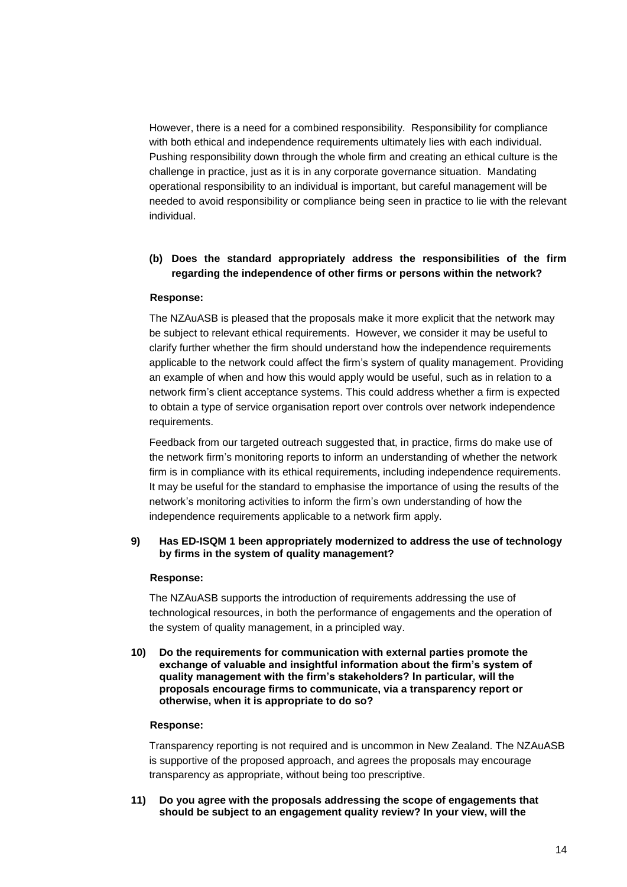However, there is a need for a combined responsibility. Responsibility for compliance with both ethical and independence requirements ultimately lies with each individual. Pushing responsibility down through the whole firm and creating an ethical culture is the challenge in practice, just as it is in any corporate governance situation. Mandating operational responsibility to an individual is important, but careful management will be needed to avoid responsibility or compliance being seen in practice to lie with the relevant individual.

# **(b) Does the standard appropriately address the responsibilities of the firm regarding the independence of other firms or persons within the network?**

## **Response:**

The NZAuASB is pleased that the proposals make it more explicit that the network may be subject to relevant ethical requirements. However, we consider it may be useful to clarify further whether the firm should understand how the independence requirements applicable to the network could affect the firm's system of quality management. Providing an example of when and how this would apply would be useful, such as in relation to a network firm's client acceptance systems. This could address whether a firm is expected to obtain a type of service organisation report over controls over network independence requirements.

Feedback from our targeted outreach suggested that, in practice, firms do make use of the network firm's monitoring reports to inform an understanding of whether the network firm is in compliance with its ethical requirements, including independence requirements. It may be useful for the standard to emphasise the importance of using the results of the network's monitoring activities to inform the firm's own understanding of how the independence requirements applicable to a network firm apply.

## **9) Has ED-ISQM 1 been appropriately modernized to address the use of technology by firms in the system of quality management?**

### **Response:**

The NZAuASB supports the introduction of requirements addressing the use of technological resources, in both the performance of engagements and the operation of the system of quality management, in a principled way.

**10) Do the requirements for communication with external parties promote the exchange of valuable and insightful information about the firm's system of quality management with the firm's stakeholders? In particular, will the proposals encourage firms to communicate, via a transparency report or otherwise, when it is appropriate to do so?**

#### **Response:**

Transparency reporting is not required and is uncommon in New Zealand. The NZAuASB is supportive of the proposed approach, and agrees the proposals may encourage transparency as appropriate, without being too prescriptive.

**11) Do you agree with the proposals addressing the scope of engagements that should be subject to an engagement quality review? In your view, will the**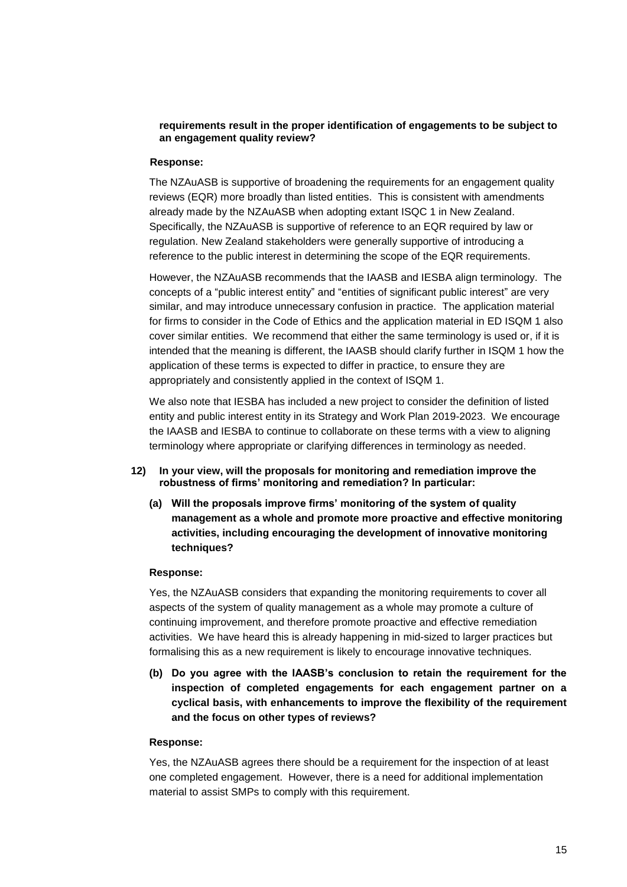## **requirements result in the proper identification of engagements to be subject to an engagement quality review?**

### **Response:**

The NZAuASB is supportive of broadening the requirements for an engagement quality reviews (EQR) more broadly than listed entities. This is consistent with amendments already made by the NZAuASB when adopting extant ISQC 1 in New Zealand. Specifically, the NZAuASB is supportive of reference to an EQR required by law or regulation. New Zealand stakeholders were generally supportive of introducing a reference to the public interest in determining the scope of the EQR requirements.

However, the NZAuASB recommends that the IAASB and IESBA align terminology. The concepts of a "public interest entity" and "entities of significant public interest" are very similar, and may introduce unnecessary confusion in practice. The application material for firms to consider in the Code of Ethics and the application material in ED ISQM 1 also cover similar entities. We recommend that either the same terminology is used or, if it is intended that the meaning is different, the IAASB should clarify further in ISQM 1 how the application of these terms is expected to differ in practice, to ensure they are appropriately and consistently applied in the context of ISQM 1.

We also note that IESBA has included a new project to consider the definition of listed entity and public interest entity in its Strategy and Work Plan 2019-2023. We encourage the IAASB and IESBA to continue to collaborate on these terms with a view to aligning terminology where appropriate or clarifying differences in terminology as needed.

- **12) In your view, will the proposals for monitoring and remediation improve the robustness of firms' monitoring and remediation? In particular:**
	- **(a) Will the proposals improve firms' monitoring of the system of quality management as a whole and promote more proactive and effective monitoring activities, including encouraging the development of innovative monitoring techniques?**

### **Response:**

Yes, the NZAuASB considers that expanding the monitoring requirements to cover all aspects of the system of quality management as a whole may promote a culture of continuing improvement, and therefore promote proactive and effective remediation activities. We have heard this is already happening in mid-sized to larger practices but formalising this as a new requirement is likely to encourage innovative techniques.

**(b) Do you agree with the IAASB's conclusion to retain the requirement for the inspection of completed engagements for each engagement partner on a cyclical basis, with enhancements to improve the flexibility of the requirement and the focus on other types of reviews?**

### **Response:**

Yes, the NZAuASB agrees there should be a requirement for the inspection of at least one completed engagement. However, there is a need for additional implementation material to assist SMPs to comply with this requirement.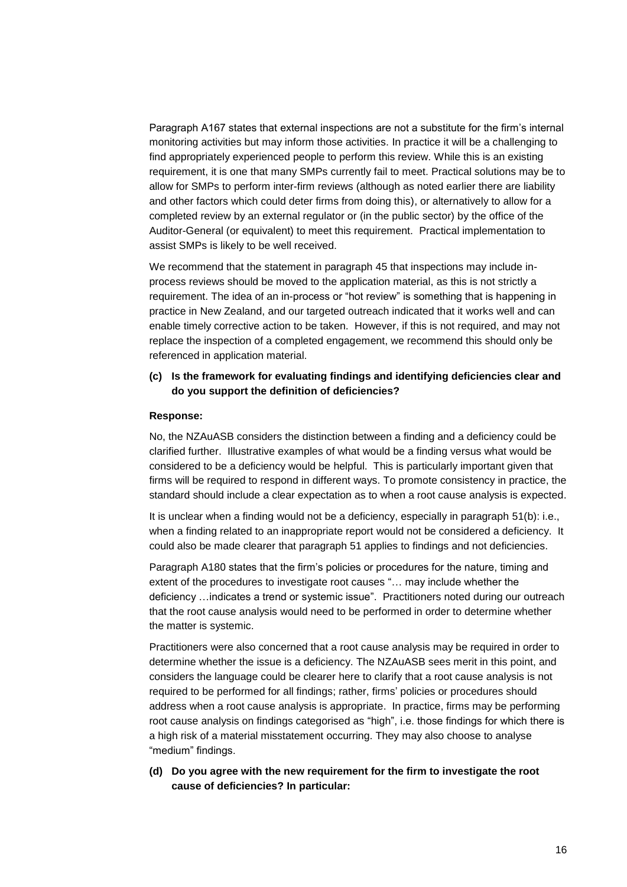Paragraph A167 states that external inspections are not a substitute for the firm's internal monitoring activities but may inform those activities. In practice it will be a challenging to find appropriately experienced people to perform this review. While this is an existing requirement, it is one that many SMPs currently fail to meet. Practical solutions may be to allow for SMPs to perform inter-firm reviews (although as noted earlier there are liability and other factors which could deter firms from doing this), or alternatively to allow for a completed review by an external regulator or (in the public sector) by the office of the Auditor-General (or equivalent) to meet this requirement. Practical implementation to assist SMPs is likely to be well received.

We recommend that the statement in paragraph 45 that inspections may include inprocess reviews should be moved to the application material, as this is not strictly a requirement. The idea of an in-process or "hot review" is something that is happening in practice in New Zealand, and our targeted outreach indicated that it works well and can enable timely corrective action to be taken. However, if this is not required, and may not replace the inspection of a completed engagement, we recommend this should only be referenced in application material.

# **(c) Is the framework for evaluating findings and identifying deficiencies clear and do you support the definition of deficiencies?**

### **Response:**

No, the NZAuASB considers the distinction between a finding and a deficiency could be clarified further. Illustrative examples of what would be a finding versus what would be considered to be a deficiency would be helpful. This is particularly important given that firms will be required to respond in different ways. To promote consistency in practice, the standard should include a clear expectation as to when a root cause analysis is expected.

It is unclear when a finding would not be a deficiency, especially in paragraph 51(b): i.e., when a finding related to an inappropriate report would not be considered a deficiency. It could also be made clearer that paragraph 51 applies to findings and not deficiencies.

Paragraph A180 states that the firm's policies or procedures for the nature, timing and extent of the procedures to investigate root causes "… may include whether the deficiency …indicates a trend or systemic issue". Practitioners noted during our outreach that the root cause analysis would need to be performed in order to determine whether the matter is systemic.

Practitioners were also concerned that a root cause analysis may be required in order to determine whether the issue is a deficiency. The NZAuASB sees merit in this point, and considers the language could be clearer here to clarify that a root cause analysis is not required to be performed for all findings; rather, firms' policies or procedures should address when a root cause analysis is appropriate. In practice, firms may be performing root cause analysis on findings categorised as "high", i.e. those findings for which there is a high risk of a material misstatement occurring. They may also choose to analyse "medium" findings.

**(d) Do you agree with the new requirement for the firm to investigate the root cause of deficiencies? In particular:**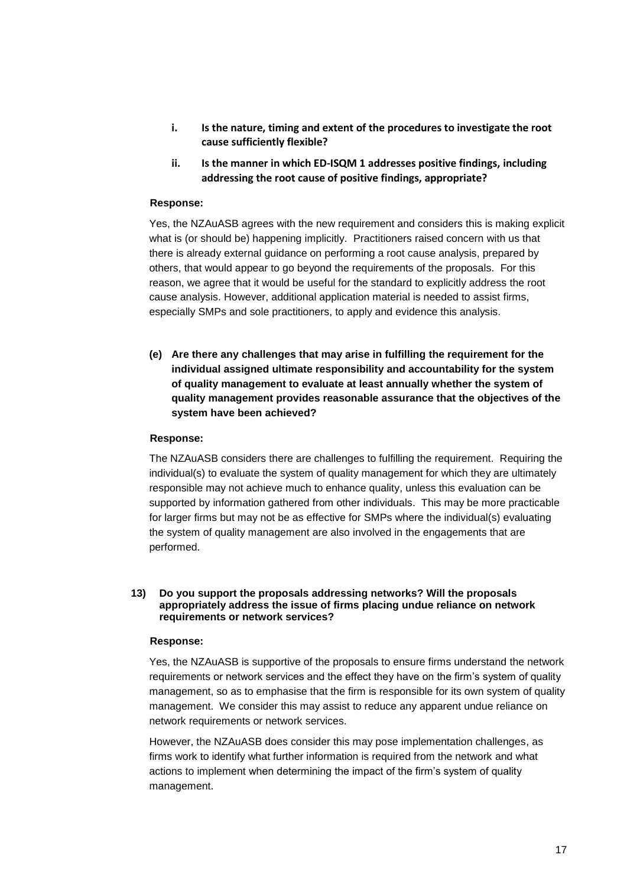- **i. Is the nature, timing and extent of the procedures to investigate the root cause sufficiently flexible?**
- **ii. Is the manner in which ED-ISQM 1 addresses positive findings, including addressing the root cause of positive findings, appropriate?**

## **Response:**

Yes, the NZAuASB agrees with the new requirement and considers this is making explicit what is (or should be) happening implicitly. Practitioners raised concern with us that there is already external guidance on performing a root cause analysis, prepared by others, that would appear to go beyond the requirements of the proposals. For this reason, we agree that it would be useful for the standard to explicitly address the root cause analysis. However, additional application material is needed to assist firms, especially SMPs and sole practitioners, to apply and evidence this analysis.

**(e) Are there any challenges that may arise in fulfilling the requirement for the individual assigned ultimate responsibility and accountability for the system of quality management to evaluate at least annually whether the system of quality management provides reasonable assurance that the objectives of the system have been achieved?**

### **Response:**

The NZAuASB considers there are challenges to fulfilling the requirement. Requiring the individual(s) to evaluate the system of quality management for which they are ultimately responsible may not achieve much to enhance quality, unless this evaluation can be supported by information gathered from other individuals. This may be more practicable for larger firms but may not be as effective for SMPs where the individual(s) evaluating the system of quality management are also involved in the engagements that are performed.

### **13) Do you support the proposals addressing networks? Will the proposals appropriately address the issue of firms placing undue reliance on network requirements or network services?**

#### **Response:**

Yes, the NZAuASB is supportive of the proposals to ensure firms understand the network requirements or network services and the effect they have on the firm's system of quality management, so as to emphasise that the firm is responsible for its own system of quality management. We consider this may assist to reduce any apparent undue reliance on network requirements or network services.

However, the NZAuASB does consider this may pose implementation challenges, as firms work to identify what further information is required from the network and what actions to implement when determining the impact of the firm's system of quality management.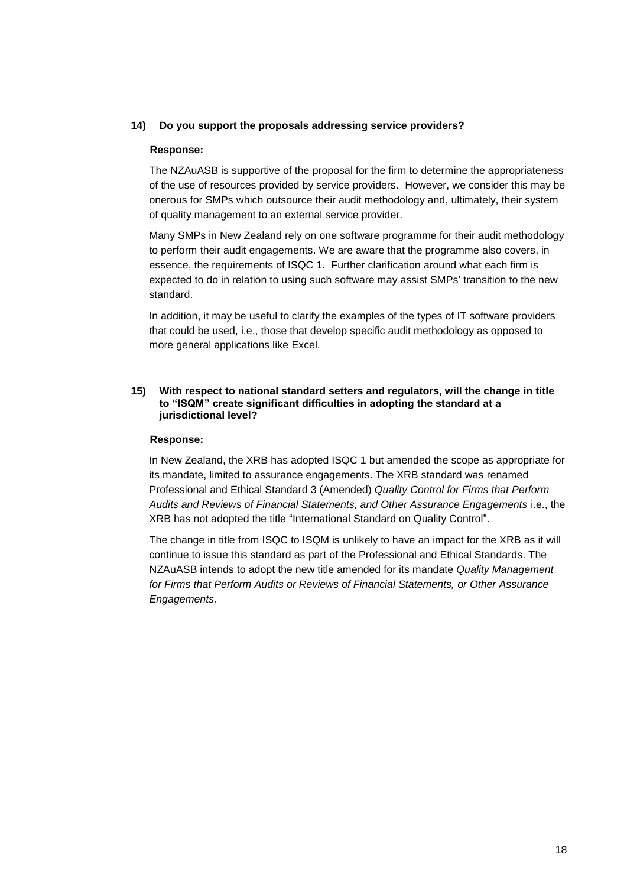## **14) Do you support the proposals addressing service providers?**

### **Response:**

The NZAuASB is supportive of the proposal for the firm to determine the appropriateness of the use of resources provided by service providers. However, we consider this may be onerous for SMPs which outsource their audit methodology and, ultimately, their system of quality management to an external service provider.

Many SMPs in New Zealand rely on one software programme for their audit methodology to perform their audit engagements. We are aware that the programme also covers, in essence, the requirements of ISQC 1. Further clarification around what each firm is expected to do in relation to using such software may assist SMPs' transition to the new standard.

In addition, it may be useful to clarify the examples of the types of IT software providers that could be used, i.e., those that develop specific audit methodology as opposed to more general applications like Excel.

### **15) With respect to national standard setters and regulators, will the change in title to "ISQM" create significant difficulties in adopting the standard at a jurisdictional level?**

#### **Response:**

In New Zealand, the XRB has adopted ISQC 1 but amended the scope as appropriate for its mandate, limited to assurance engagements. The XRB standard was renamed Professional and Ethical Standard 3 (Amended) *Quality Control for Firms that Perform Audits and Reviews of Financial Statements, and Other Assurance Engagements* i.e., the XRB has not adopted the title "International Standard on Quality Control".

The change in title from ISQC to ISQM is unlikely to have an impact for the XRB as it will continue to issue this standard as part of the Professional and Ethical Standards. The NZAuASB intends to adopt the new title amended for its mandate *Quality Management for Firms that Perform Audits or Reviews of Financial Statements, or Other Assurance Engagements.*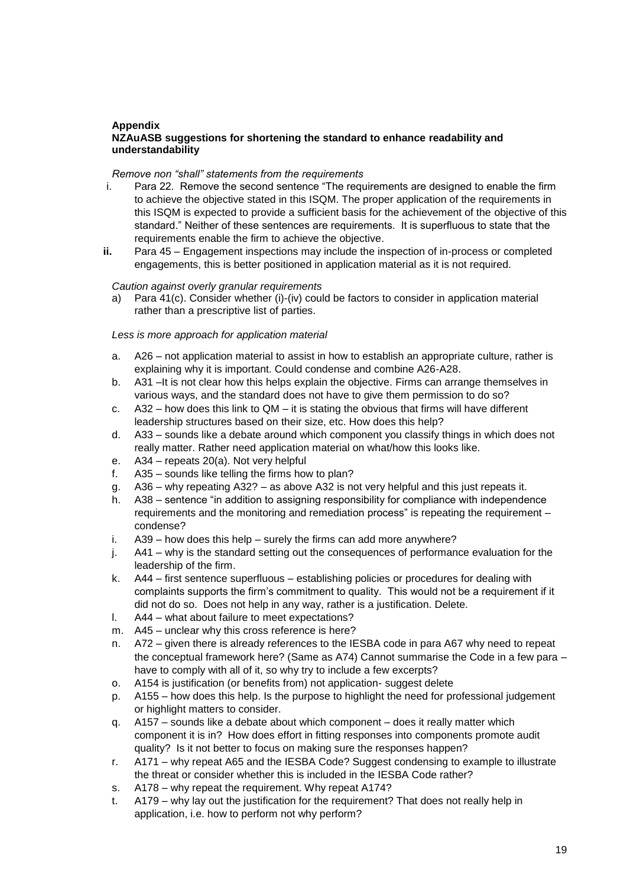# **Appendix**

## **NZAuASB suggestions for shortening the standard to enhance readability and understandability**

## *Remove non "shall" statements from the requirements*

- i. Para 22. Remove the second sentence "The requirements are designed to enable the firm to achieve the objective stated in this ISQM. The proper application of the requirements in this ISQM is expected to provide a sufficient basis for the achievement of the objective of this standard." Neither of these sentences are requirements. It is superfluous to state that the requirements enable the firm to achieve the objective.
- **ii.** Para 45 Engagement inspections may include the inspection of in-process or completed engagements, this is better positioned in application material as it is not required.

## *Caution against overly granular requirements*

a) Para 41(c). Consider whether (i)-(iv) could be factors to consider in application material rather than a prescriptive list of parties.

## *Less is more approach for application material*

- a. A26 not application material to assist in how to establish an appropriate culture, rather is explaining why it is important. Could condense and combine A26-A28.
- b. A31 –It is not clear how this helps explain the objective. Firms can arrange themselves in various ways, and the standard does not have to give them permission to do so?
- c.  $A32 -$  how does this link to QM it is stating the obvious that firms will have different leadership structures based on their size, etc. How does this help?
- d. A33 sounds like a debate around which component you classify things in which does not really matter. Rather need application material on what/how this looks like.
- e. A34 repeats 20(a). Not very helpful
- f. A35 sounds like telling the firms how to plan?
- g. A36 why repeating A32? as above A32 is not very helpful and this just repeats it.
- h. A38 sentence "in addition to assigning responsibility for compliance with independence requirements and the monitoring and remediation process" is repeating the requirement – condense?
- i. A39 how does this help surely the firms can add more anywhere?
- j. A41 why is the standard setting out the consequences of performance evaluation for the leadership of the firm.
- k. A44 first sentence superfluous establishing policies or procedures for dealing with complaints supports the firm's commitment to quality. This would not be a requirement if it did not do so. Does not help in any way, rather is a justification. Delete.
- l. A44 what about failure to meet expectations?
- m. A45 unclear why this cross reference is here?
- n. A72 given there is already references to the IESBA code in para A67 why need to repeat the conceptual framework here? (Same as A74) Cannot summarise the Code in a few para – have to comply with all of it, so why try to include a few excerpts?
- o. A154 is justification (or benefits from) not application- suggest delete
- p. A155 how does this help. Is the purpose to highlight the need for professional judgement or highlight matters to consider.
- q. A157 sounds like a debate about which component does it really matter which component it is in? How does effort in fitting responses into components promote audit quality? Is it not better to focus on making sure the responses happen?
- r. A171 why repeat A65 and the IESBA Code? Suggest condensing to example to illustrate the threat or consider whether this is included in the IESBA Code rather?
- s. A178 why repeat the requirement. Why repeat A174?
- t. A179 why lay out the justification for the requirement? That does not really help in application, i.e. how to perform not why perform?